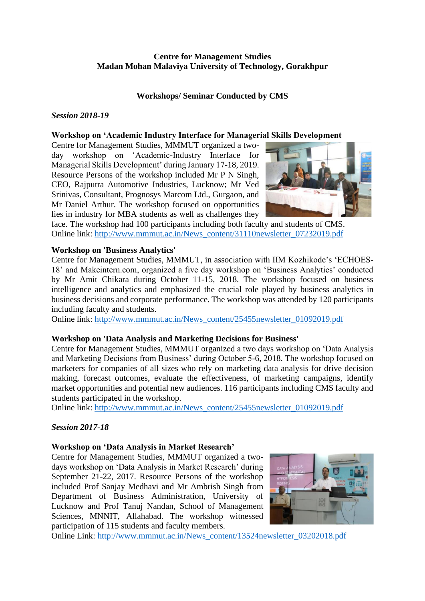# **Centre for Management Studies Madan Mohan Malaviya University of Technology, Gorakhpur**

# **Workshops/ Seminar Conducted by CMS**

## *Session 2018-19*

## **Workshop on 'Academic Industry Interface for Managerial Skills Development**

Centre for Management Studies, MMMUT organized a twoday workshop on 'Academic-Industry Interface for Managerial Skills Development' during January 17-18, 2019. Resource Persons of the workshop included Mr P N Singh, CEO, Rajputra Automotive Industries, Lucknow; Mr Ved Srinivas, Consultant, Prognosys Marcom Ltd., Gurgaon, and Mr Daniel Arthur. The workshop focused on opportunities lies in industry for MBA students as well as challenges they



face. The workshop had 100 participants including both faculty and students of CMS. Online link: [http://www.mmmut.ac.in/News\\_content/31110newsletter\\_07232019.pdf](http://www.mmmut.ac.in/News_content/31110newsletter_07232019.pdf)

## **Workshop on 'Business Analytics'**

Centre for Management Studies, MMMUT, in association with IIM Kozhikode's 'ECHOES-18' and Makeintern.com, organized a five day workshop on 'Business Analytics' conducted by Mr Amit Chikara during October 11-15, 2018. The workshop focused on business intelligence and analytics and emphasized the crucial role played by business analytics in business decisions and corporate performance. The workshop was attended by 120 participants including faculty and students.

Online link: [http://www.mmmut.ac.in/News\\_content/25455newsletter\\_01092019.pdf](http://www.mmmut.ac.in/News_content/25455newsletter_01092019.pdf)

### **Workshop on 'Data Analysis and Marketing Decisions for Business'**

Centre for Management Studies, MMMUT organized a two days workshop on 'Data Analysis and Marketing Decisions from Business' during October 5-6, 2018. The workshop focused on marketers for companies of all sizes who rely on marketing data analysis for drive decision making, forecast outcomes, evaluate the effectiveness, of marketing campaigns, identify market opportunities and potential new audiences. 116 participants including CMS faculty and students participated in the workshop.

Online link: [http://www.mmmut.ac.in/News\\_content/25455newsletter\\_01092019.pdf](http://www.mmmut.ac.in/News_content/25455newsletter_01092019.pdf)

# *Session 2017-18*

### **Workshop on 'Data Analysis in Market Research'**

Centre for Management Studies, MMMUT organized a twodays workshop on 'Data Analysis in Market Research' during September 21-22, 2017. Resource Persons of the workshop included Prof Sanjay Medhavi and Mr Ambrish Singh from Department of Business Administration, University of Lucknow and Prof Tanuj Nandan, School of Management Sciences, MNNIT, Allahabad. The workshop witnessed participation of 115 students and faculty members.



Online Link: [http://www.mmmut.ac.in/News\\_content/13524newsletter\\_03202018.pdf](http://www.mmmut.ac.in/News_content/13524newsletter_03202018.pdf)